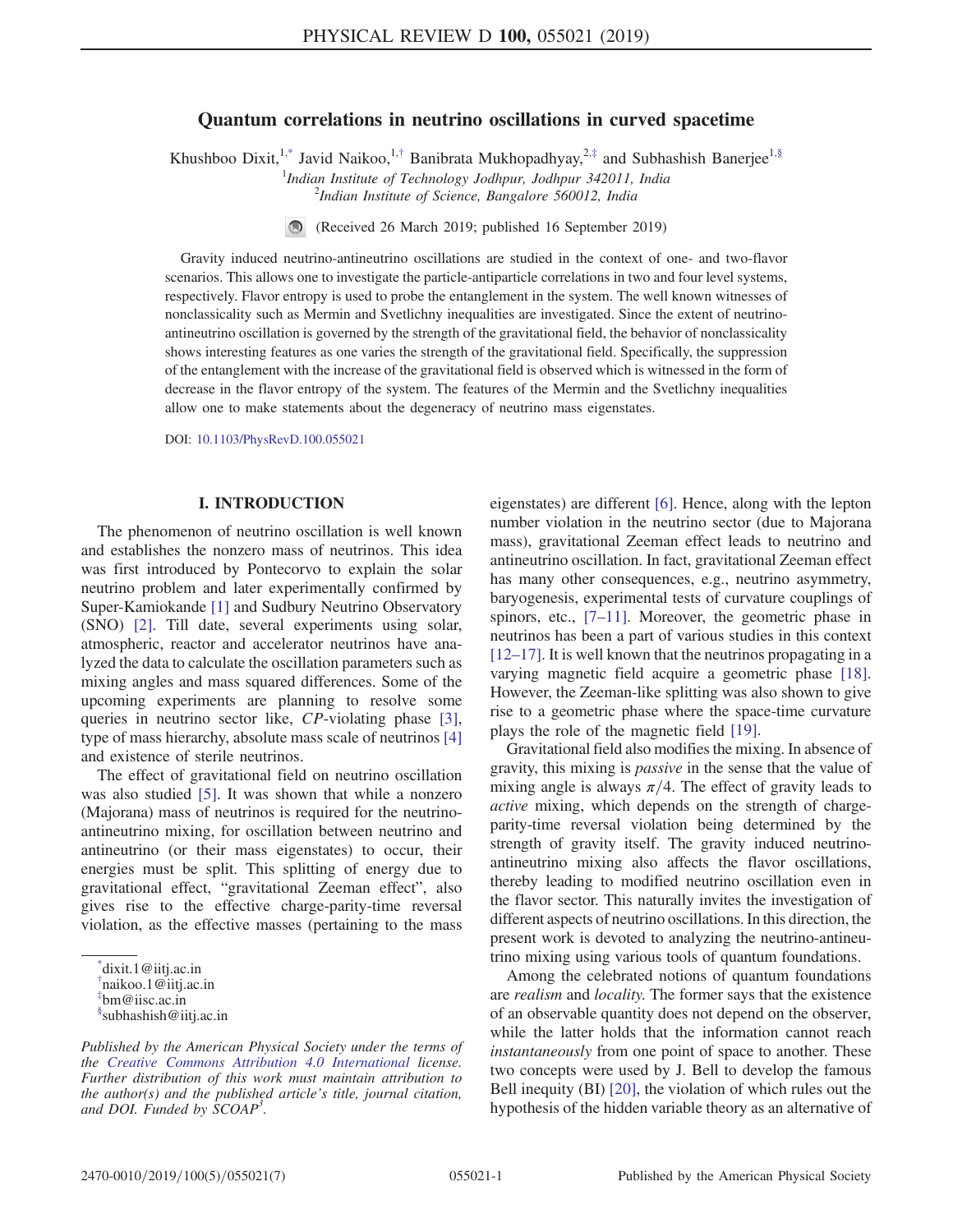# Quantum correlations in neutrino oscillations in curved spacetime

Khushboo Dixit,<sup>1,\*</sup> Javid Naikoo,<sup>1,†</sup> Banibrata Mukhopadhyay,<sup>2,‡</sup> and Subhashish Banerjee<sup>1,§</sup>

<sup>1</sup>Indian Institute of Technology Jodhpur, Jodhpur 342011, India <sup>2</sup>Indian Institute of Science, Bangalore 560012, India

(Received 26 March 2019; published 16 September 2019)

Gravity induced neutrino-antineutrino oscillations are studied in the context of one- and two-flavor scenarios. This allows one to investigate the particle-antiparticle correlations in two and four level systems, respectively. Flavor entropy is used to probe the entanglement in the system. The well known witnesses of nonclassicality such as Mermin and Svetlichny inequalities are investigated. Since the extent of neutrinoantineutrino oscillation is governed by the strength of the gravitational field, the behavior of nonclassicality shows interesting features as one varies the strength of the gravitational field. Specifically, the suppression of the entanglement with the increase of the gravitational field is observed which is witnessed in the form of decrease in the flavor entropy of the system. The features of the Mermin and the Svetlichny inequalities allow one to make statements about the degeneracy of neutrino mass eigenstates.

DOI: 10.1103/PhysRevD.100.055021

#### I. INTRODUCTION

The phenomenon of neutrino oscillation is well known and establishes the nonzero mass of neutrinos. This idea was first introduced by Pontecorvo to explain the solar neutrino problem and later experimentally confirmed by Super-Kamiokande [1] and Sudbury Neutrino Observatory (SNO) [2]. Till date, several experiments using solar, atmospheric, reactor and accelerator neutrinos have analyzed the data to calculate the oscillation parameters such as mixing angles and mass squared differences. Some of the upcoming experiments are planning to resolve some queries in neutrino sector like, CP-violating phase [3], type of mass hierarchy, absolute mass scale of neutrinos [4] and existence of sterile neutrinos.

The effect of gravitational field on neutrino oscillation was also studied [5]. It was shown that while a nonzero (Majorana) mass of neutrinos is required for the neutrinoantineutrino mixing, for oscillation between neutrino and antineutrino (or their mass eigenstates) to occur, their energies must be split. This splitting of energy due to gravitational effect, "gravitational Zeeman effect", also gives rise to the effective charge-parity-time reversal violation, as the effective masses (pertaining to the mass

\* dixit.1@iitj.ac.in † naikoo.1@iitj.ac.in ‡ bm@iisc.ac.in § subhashish@iitj.ac.in eigenstates) are different [6]. Hence, along with the lepton number violation in the neutrino sector (due to Majorana mass), gravitational Zeeman effect leads to neutrino and antineutrino oscillation. In fact, gravitational Zeeman effect has many other consequences, e.g., neutrino asymmetry, baryogenesis, experimental tests of curvature couplings of spinors, etc., [7–11]. Moreover, the geometric phase in neutrinos has been a part of various studies in this context [12–17]. It is well known that the neutrinos propagating in a varying magnetic field acquire a geometric phase [18]. However, the Zeeman-like splitting was also shown to give rise to a geometric phase where the space-time curvature plays the role of the magnetic field [19].

Gravitational field also modifies the mixing. In absence of gravity, this mixing is passive in the sense that the value of mixing angle is always  $\pi/4$ . The effect of gravity leads to active mixing, which depends on the strength of chargeparity-time reversal violation being determined by the strength of gravity itself. The gravity induced neutrinoantineutrino mixing also affects the flavor oscillations, thereby leading to modified neutrino oscillation even in the flavor sector. This naturally invites the investigation of different aspects of neutrino oscillations. In this direction, the present work is devoted to analyzing the neutrino-antineutrino mixing using various tools of quantum foundations.

Among the celebrated notions of quantum foundations are realism and locality. The former says that the existence of an observable quantity does not depend on the observer, while the latter holds that the information cannot reach instantaneously from one point of space to another. These two concepts were used by J. Bell to develop the famous Bell inequity (BI) [20], the violation of which rules out the hypothesis of the hidden variable theory as an alternative of

Published by the American Physical Society under the terms of the Creative Commons Attribution 4.0 International license. Further distribution of this work must maintain attribution to the author(s) and the published article's title, journal citation, and DOI. Funded by  $\dot{S}COAP^3$ .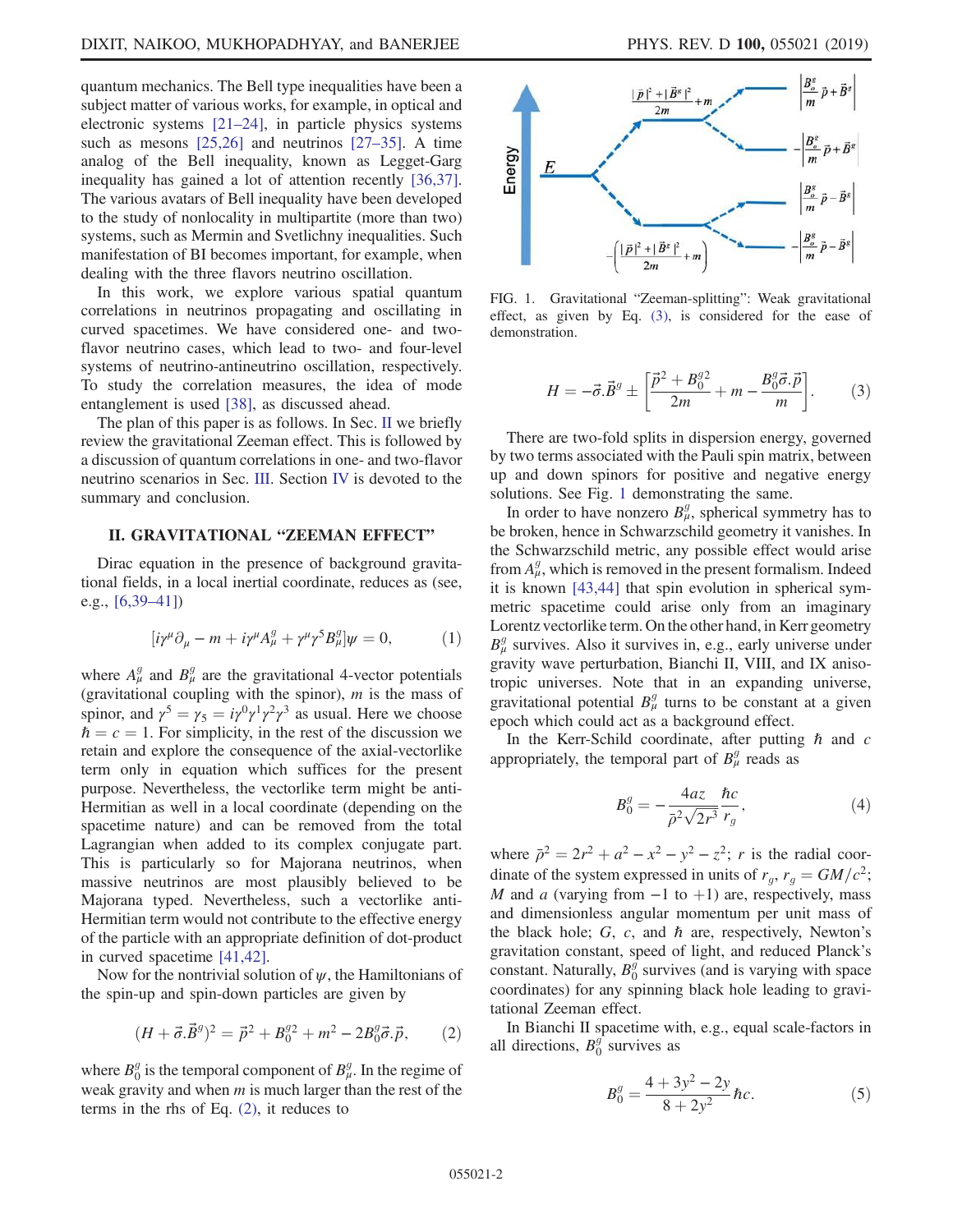quantum mechanics. The Bell type inequalities have been a subject matter of various works, for example, in optical and electronic systems [21–24], in particle physics systems such as mesons [25,26] and neutrinos [27–35]. A time analog of the Bell inequality, known as Legget-Garg inequality has gained a lot of attention recently [36,37]. The various avatars of Bell inequality have been developed to the study of nonlocality in multipartite (more than two) systems, such as Mermin and Svetlichny inequalities. Such manifestation of BI becomes important, for example, when dealing with the three flavors neutrino oscillation.

In this work, we explore various spatial quantum correlations in neutrinos propagating and oscillating in curved spacetimes. We have considered one- and twoflavor neutrino cases, which lead to two- and four-level systems of neutrino-antineutrino oscillation, respectively. To study the correlation measures, the idea of mode entanglement is used [38], as discussed ahead.

The plan of this paper is as follows. In Sec. II we briefly review the gravitational Zeeman effect. This is followed by a discussion of quantum correlations in one- and two-flavor neutrino scenarios in Sec. III. Section IV is devoted to the summary and conclusion.

#### II. GRAVITATIONAL "ZEEMAN EFFECT"

Dirac equation in the presence of background gravitational fields, in a local inertial coordinate, reduces as (see, e.g., [6,39–41])

$$
[i\gamma^{\mu}\partial_{\mu} - m + i\gamma^{\mu}A_{\mu}^{g} + \gamma^{\mu}\gamma^{5}B_{\mu}^{g}]\psi = 0, \qquad (1)
$$

where  $A_{\mu}^{g}$  and  $B_{\mu}^{g}$  are the gravitational 4-vector potentials (gravitational coupling with the spinor),  $m$  is the mass of spinor, and  $\gamma^5 = \gamma_5 = i\gamma^0\gamma^1\gamma^2\gamma^3$  as usual. Here we choose  $\hbar = c = 1$ . For simplicity, in the rest of the discussion we retain and explore the consequence of the axial-vectorlike term only in equation which suffices for the present purpose. Nevertheless, the vectorlike term might be anti-Hermitian as well in a local coordinate (depending on the spacetime nature) and can be removed from the total Lagrangian when added to its complex conjugate part. This is particularly so for Majorana neutrinos, when massive neutrinos are most plausibly believed to be Majorana typed. Nevertheless, such a vectorlike anti-Hermitian term would not contribute to the effective energy of the particle with an appropriate definition of dot-product in curved spacetime [41,42].

Now for the nontrivial solution of  $\psi$ , the Hamiltonians of the spin-up and spin-down particles are given by

$$
(H + \vec{\sigma} \cdot \vec{B}^g)^2 = \vec{p}^2 + B_0^{g2} + m^2 - 2B_0^g \vec{\sigma} \cdot \vec{p}, \qquad (2)
$$

where  $B_0^g$  is the temporal component of  $B_\mu^g$ . In the regime of weak gravity and when  $m$  is much larger than the rest of the terms in the rhs of Eq. (2), it reduces to



FIG. 1. Gravitational "Zeeman-splitting": Weak gravitational effect, as given by Eq. (3), is considered for the ease of demonstration.

$$
H = -\vec{\sigma} \cdot \vec{B}^g \pm \left[ \frac{\vec{p}^2 + B_0^{g_2}}{2m} + m - \frac{B_0^g \vec{\sigma} \cdot \vec{p}}{m} \right].
$$
 (3)

There are two-fold splits in dispersion energy, governed by two terms associated with the Pauli spin matrix, between up and down spinors for positive and negative energy solutions. See Fig. 1 demonstrating the same.

In order to have nonzero  $B_{\mu}^{g}$ , spherical symmetry has to be broken, hence in Schwarzschild geometry it vanishes. In the Schwarzschild metric, any possible effect would arise from  $A_{\mu}^{g}$ , which is removed in the present formalism. Indeed it is known [43,44] that spin evolution in spherical symmetric spacetime could arise only from an imaginary Lorentz vectorlike term. On the other hand, in Kerr geometry  $B_{\mu}^{g}$  survives. Also it survives in, e.g., early universe under gravity wave perturbation, Bianchi II, VIII, and IX anisotropic universes. Note that in an expanding universe, gravitational potential  $B_{\mu}^{g}$  turns to be constant at a given epoch which could act as a background effect.

In the Kerr-Schild coordinate, after putting  $\hbar$  and  $c$ appropriately, the temporal part of  $B_{\mu}^{g}$  reads as

$$
B_0^g = -\frac{4az}{\bar{\rho}^2 \sqrt{2r^3}} \frac{\hbar c}{r_g},\tag{4}
$$

where  $\bar{\rho}^2 = 2r^2 + a^2 - x^2 - y^2 - z^2$ ; r is the radial coordinate of the system expressed in units of  $r_g$ ,  $r_g = GM/c^2$ ; M and a (varying from  $-1$  to  $+1$ ) are, respectively, mass and dimensionless angular momentum per unit mass of the black hole;  $G$ ,  $c$ , and  $\hbar$  are, respectively, Newton's gravitation constant, speed of light, and reduced Planck's constant. Naturally,  $B_0^{\tilde{g}}$  survives (and is varying with space coordinates) for any spinning black hole leading to gravitational Zeeman effect.

In Bianchi II spacetime with, e.g., equal scale-factors in all directions,  $B_0^{\hat{g}}$  survives as

$$
B_0^g = \frac{4 + 3y^2 - 2y}{8 + 2y^2} \hbar c.
$$
 (5)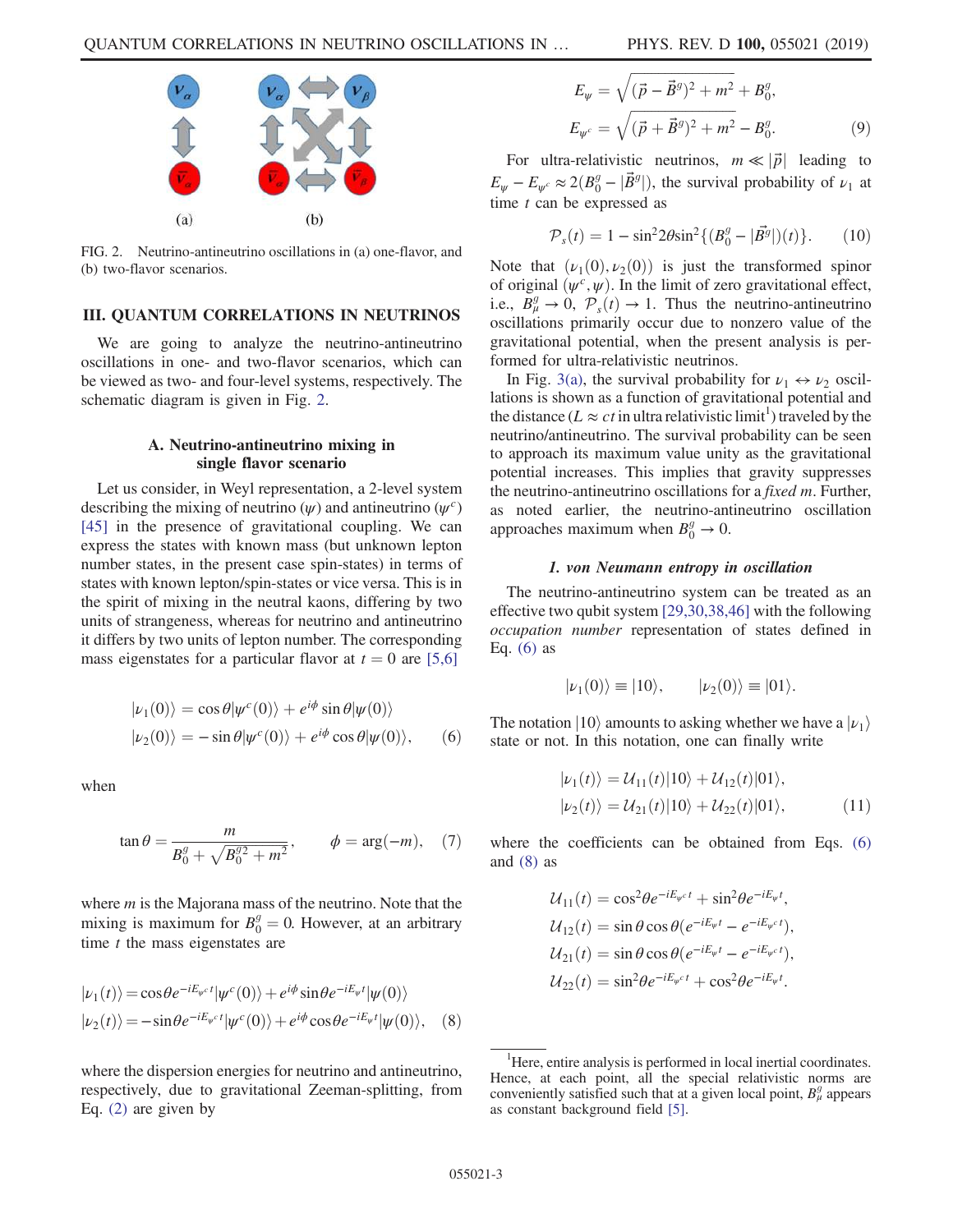

FIG. 2. Neutrino-antineutrino oscillations in (a) one-flavor, and (b) two-flavor scenarios.

## III. QUANTUM CORRELATIONS IN NEUTRINOS

We are going to analyze the neutrino-antineutrino oscillations in one- and two-flavor scenarios, which can be viewed as two- and four-level systems, respectively. The schematic diagram is given in Fig. 2.

#### A. Neutrino-antineutrino mixing in single flavor scenario

Let us consider, in Weyl representation, a 2-level system describing the mixing of neutrino  $(\psi)$  and antineutrino  $(\psi^c)$ [45] in the presence of gravitational coupling. We can express the states with known mass (but unknown lepton number states, in the present case spin-states) in terms of states with known lepton/spin-states or vice versa. This is in the spirit of mixing in the neutral kaons, differing by two units of strangeness, whereas for neutrino and antineutrino it differs by two units of lepton number. The corresponding mass eigenstates for a particular flavor at  $t = 0$  are [5,6]

$$
|\nu_1(0)\rangle = \cos\theta |\psi^c(0)\rangle + e^{i\phi} \sin\theta |\psi(0)\rangle
$$
  

$$
|\nu_2(0)\rangle = -\sin\theta |\psi^c(0)\rangle + e^{i\phi} \cos\theta |\psi(0)\rangle,
$$
 (6)

when

$$
\tan \theta = \frac{m}{B_0^g + \sqrt{B_0^{g2} + m^2}}, \qquad \phi = \arg(-m), \quad (7)
$$

where  $m$  is the Majorana mass of the neutrino. Note that the mixing is maximum for  $B_0^g = 0$ . However, at an arbitrary time  $t$  the mass eigenstates are

$$
|\nu_1(t)\rangle = \cos\theta e^{-iE_{\psi^c}t}|\psi^c(0)\rangle + e^{i\phi}\sin\theta e^{-iE_{\psi}t}|\psi(0)\rangle
$$
  

$$
|\nu_2(t)\rangle = -\sin\theta e^{-iE_{\psi^c}t}|\psi^c(0)\rangle + e^{i\phi}\cos\theta e^{-iE_{\psi}t}|\psi(0)\rangle, \quad (8)
$$

where the dispersion energies for neutrino and antineutrino, respectively, due to gravitational Zeeman-splitting, from Eq. (2) are given by

$$
E_{\psi} = \sqrt{(\vec{p} - \vec{B}^{g})^{2} + m^{2}} + B_{0}^{g},
$$
  
\n
$$
E_{\psi^{c}} = \sqrt{(\vec{p} + \vec{B}^{g})^{2} + m^{2}} - B_{0}^{g}.
$$
\n(9)

For ultra-relativistic neutrinos,  $m \ll |\vec{p}|$  leading to  $E_{\psi} - E_{\psi^c} \approx 2(B_0^g - |\vec{B}^g|)$ , the survival probability of  $\nu_1$  at time *t* can be expressed as

$$
\mathcal{P}_s(t) = 1 - \sin^2 2\theta \sin^2 \{ (B_0^g - |\vec{B}^g|)(t) \}.
$$
 (10)

Note that  $(\nu_1(0), \nu_2(0))$  is just the transformed spinor of original  $(\psi^c, \psi)$ . In the limit of zero gravitational effect, i.e.,  $B_{\mu}^{g} \rightarrow 0$ ,  $\mathcal{P}_{s}(t) \rightarrow 1$ . Thus the neutrino-antineutrino oscillations primarily occur due to nonzero value of the gravitational potential, when the present analysis is performed for ultra-relativistic neutrinos.

In Fig. 3(a), the survival probability for  $\nu_1 \leftrightarrow \nu_2$  oscillations is shown as a function of gravitational potential and the distance ( $L \approx ct$  in ultra relativistic limit<sup>1</sup>) traveled by the neutrino/antineutrino. The survival probability can be seen to approach its maximum value unity as the gravitational potential increases. This implies that gravity suppresses the neutrino-antineutrino oscillations for a fixed m. Further, as noted earlier, the neutrino-antineutrino oscillation approaches maximum when  $B_0^g \to 0$ .

#### 1. von Neumann entropy in oscillation

The neutrino-antineutrino system can be treated as an effective two qubit system [29,30,38,46] with the following occupation number representation of states defined in Eq.  $(6)$  as

$$
|\nu_1(0)\rangle\equiv|10\rangle,\qquad |\nu_2(0)\rangle\equiv|01\rangle.
$$

The notation  $|10\rangle$  amounts to asking whether we have a  $|\nu_1\rangle$ state or not. In this notation, one can finally write

$$
|\nu_1(t)\rangle = \mathcal{U}_{11}(t)|10\rangle + \mathcal{U}_{12}(t)|01\rangle,
$$
  

$$
|\nu_2(t)\rangle = \mathcal{U}_{21}(t)|10\rangle + \mathcal{U}_{22}(t)|01\rangle,
$$
 (11)

where the coefficients can be obtained from Eqs. (6) and  $(8)$  as

$$
\mathcal{U}_{11}(t) = \cos^2 \theta e^{-iE_{\psi}ct} + \sin^2 \theta e^{-iE_{\psi}t},
$$
  
\n
$$
\mathcal{U}_{12}(t) = \sin \theta \cos \theta (e^{-iE_{\psi}t} - e^{-iE_{\psi}ct}),
$$
  
\n
$$
\mathcal{U}_{21}(t) = \sin \theta \cos \theta (e^{-iE_{\psi}t} - e^{-iE_{\psi}ct}),
$$
  
\n
$$
\mathcal{U}_{22}(t) = \sin^2 \theta e^{-iE_{\psi}ct} + \cos^2 \theta e^{-iE_{\psi}t}.
$$

<sup>&</sup>lt;sup>1</sup>Here, entire analysis is performed in local inertial coordinates. Hence, at each point, all the special relativistic norms are conveniently satisfied such that at a given local point,  $B_{\mu}^{g}$  appears as constant background field [5].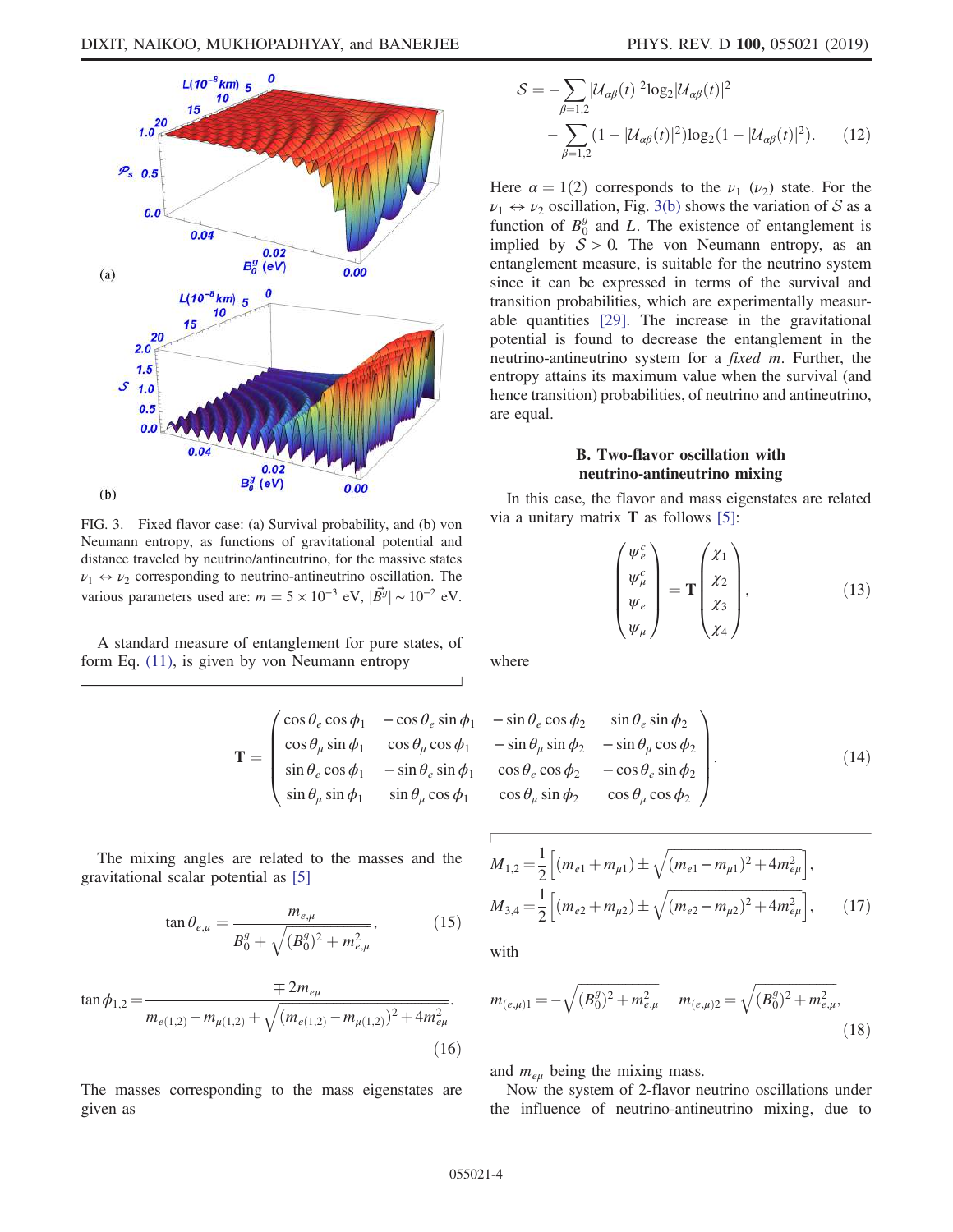

FIG. 3. Fixed flavor case: (a) Survival probability, and (b) von Neumann entropy, as functions of gravitational potential and distance traveled by neutrino/antineutrino, for the massive states  $\nu_1 \leftrightarrow \nu_2$  corresponding to neutrino-antineutrino oscillation. The various parameters used are:  $m = 5 \times 10^{-3}$  eV,  $|\vec{B}^g| \sim 10^{-2}$  eV.

A standard measure of entanglement for pure states, of form Eq. (11), is given by von Neumann entropy

$$
S = -\sum_{\beta=1,2} |\mathcal{U}_{\alpha\beta}(t)|^2 \log_2 |\mathcal{U}_{\alpha\beta}(t)|^2
$$

$$
-\sum_{\beta=1,2} (1 - |\mathcal{U}_{\alpha\beta}(t)|^2) \log_2 (1 - |\mathcal{U}_{\alpha\beta}(t)|^2). \tag{12}
$$

Here  $\alpha = 1(2)$  corresponds to the  $\nu_1$  ( $\nu_2$ ) state. For the  $\nu_1 \leftrightarrow \nu_2$  oscillation, Fig. 3(b) shows the variation of S as a function of  $B_0^g$  and L. The existence of entanglement is implied by  $S > 0$ . The von Neumann entropy, as an entanglement measure, is suitable for the neutrino system since it can be expressed in terms of the survival and transition probabilities, which are experimentally measurable quantities [29]. The increase in the gravitational potential is found to decrease the entanglement in the neutrino-antineutrino system for a fixed m. Further, the entropy attains its maximum value when the survival (and hence transition) probabilities, of neutrino and antineutrino, are equal.

#### B. Two-flavor oscillation with neutrino-antineutrino mixing

In this case, the flavor and mass eigenstates are related via a unitary matrix T as follows [5]:

$$
\begin{pmatrix} \psi_e^c \\ \psi_\mu^c \\ \psi_e \\ \psi_\mu \end{pmatrix} = \mathbf{T} \begin{pmatrix} \chi_1 \\ \chi_2 \\ \chi_3 \\ \chi_4 \end{pmatrix}, \tag{13}
$$

where

$$
\mathbf{T} = \begin{pmatrix}\n\cos \theta_e \cos \phi_1 & -\cos \theta_e \sin \phi_1 & -\sin \theta_e \\
\cos \theta_\mu \sin \phi_1 & \cos \theta_\mu \cos \phi_1 & -\sin \theta_\mu \\
\sin \theta_e \cos \phi_1 & -\sin \theta_e \sin \phi_1 & \cos \theta_e \\
\sin \theta_\mu \sin \phi_1 & \sin \theta_\mu \cos \phi_1 & \cos \theta_\mu\n\end{pmatrix}
$$

The mixing angles are related to the masses and the gravitational scalar potential as [5]

$$
\tan \theta_{e,\mu} = \frac{m_{e,\mu}}{B_0^g + \sqrt{(B_0^g)^2 + m_{e,\mu}^2}},\tag{15}
$$

$$
\tan \phi_{1,2} = \frac{\mp 2m_{e\mu}}{m_{e(1,2)} - m_{\mu(1,2)} + \sqrt{(m_{e(1,2)} - m_{\mu(1,2)})^2 + 4m_{e\mu}^2}}.
$$
\n(16)

The masses corresponding to the mass eigenstates are given as

$$
\begin{array}{ll}\n\sin \phi_1 & -\sin \theta_e \cos \phi_2 & \sin \theta_e \sin \phi_2 \\
\cos \phi_1 & -\sin \theta_\mu \sin \phi_2 & -\sin \theta_\mu \cos \phi_2 \\
\sin \phi_1 & \cos \theta_e \cos \phi_2 & -\cos \theta_e \sin \phi_2 \\
\cos \phi_1 & \cos \theta_\mu \sin \phi_2 & \cos \theta_\mu \cos \phi_2\n\end{array} \bigg]. \tag{14}
$$

$$
M_{1,2} = \frac{1}{2} \left[ (m_{e1} + m_{\mu 1}) \pm \sqrt{(m_{e1} - m_{\mu 1})^2 + 4m_{e\mu}^2} \right],
$$
  

$$
M_{3,4} = \frac{1}{2} \left[ (m_{e2} + m_{\mu 2}) \pm \sqrt{(m_{e2} - m_{\mu 2})^2 + 4m_{e\mu}^2} \right],
$$
 (17)

with

$$
m_{(e,\mu)1} = -\sqrt{(B_0^g)^2 + m_{e,\mu}^2} \quad m_{(e,\mu)2} = \sqrt{(B_0^g)^2 + m_{e,\mu}^2},
$$
\n(18)

and  $m_{e\mu}$  being the mixing mass.

Now the system of 2-flavor neutrino oscillations under the influence of neutrino-antineutrino mixing, due to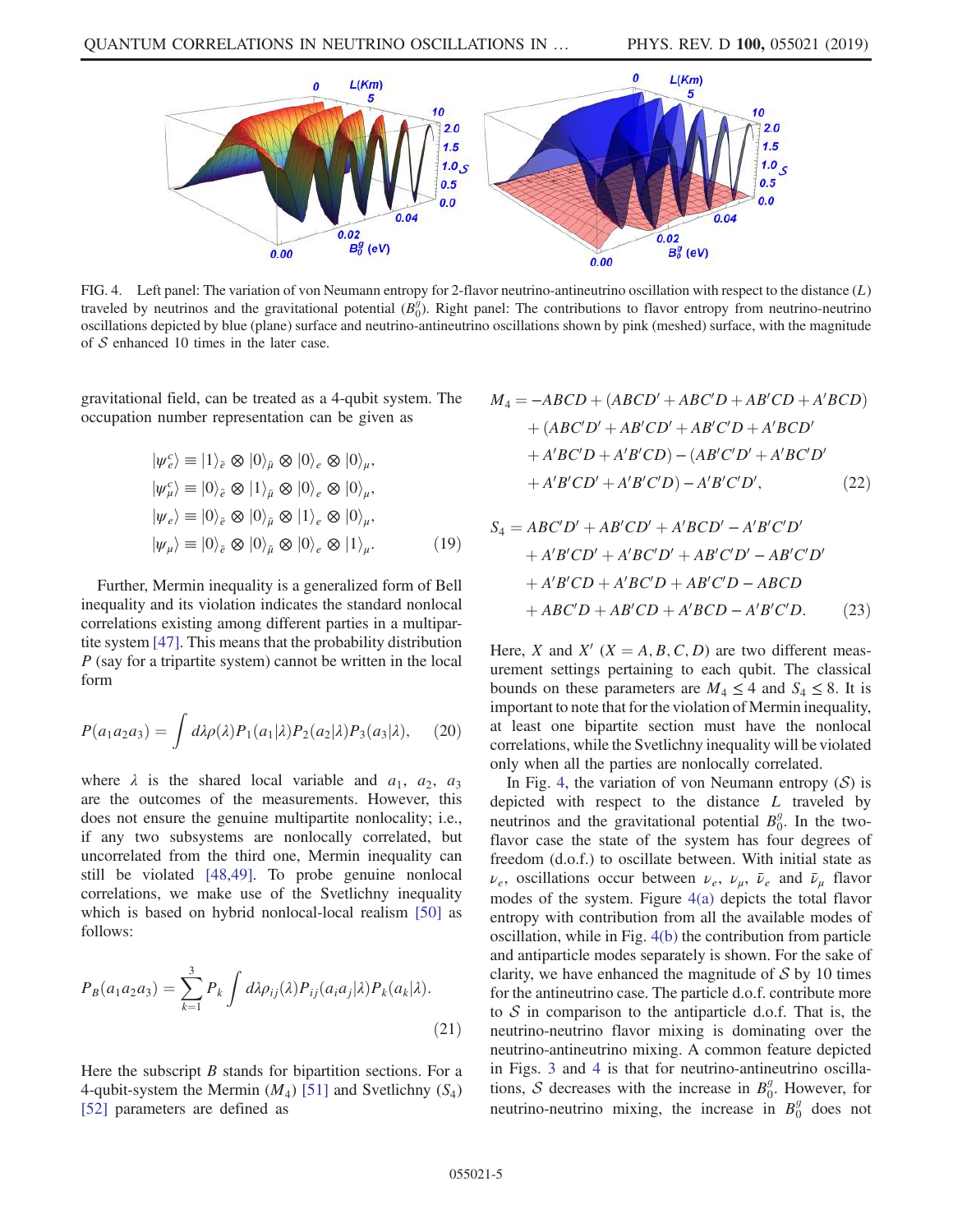

FIG. 4. Left panel: The variation of von Neumann entropy for 2-flavor neutrino-antineutrino oscillation with respect to the distance  $(L)$ traveled by neutrinos and the gravitational potential  $(B_0^g)$ . Right panel: The contributions to flavor entropy from neutrino-neutrino oscillations depicted by blue (plane) surface and neutrino-antineutrino oscillations shown by pink (meshed) surface, with the magnitude of  $S$  enhanced 10 times in the later case.

gravitational field, can be treated as a 4-qubit system. The occupation number representation can be given as

$$
|\psi_e^c\rangle \equiv |1\rangle_{\bar{e}} \otimes |0\rangle_{\bar{\mu}} \otimes |0\rangle_e \otimes |0\rangle_{\mu},
$$
  
\n
$$
|\psi_{\mu}^c\rangle \equiv |0\rangle_{\bar{e}} \otimes |1\rangle_{\bar{\mu}} \otimes |0\rangle_e \otimes |0\rangle_{\mu},
$$
  
\n
$$
|\psi_e\rangle \equiv |0\rangle_{\bar{e}} \otimes |0\rangle_{\bar{\mu}} \otimes |1\rangle_e \otimes |0\rangle_{\mu},
$$
  
\n
$$
|\psi_{\mu}\rangle \equiv |0\rangle_{\bar{e}} \otimes |0\rangle_{\bar{\mu}} \otimes |0\rangle_e \otimes |1\rangle_{\mu}.
$$
 (19)

Further, Mermin inequality is a generalized form of Bell inequality and its violation indicates the standard nonlocal correlations existing among different parties in a multipartite system [47]. This means that the probability distribution P (say for a tripartite system) cannot be written in the local form

$$
P(a_1a_2a_3) = \int d\lambda \rho(\lambda) P_1(a_1|\lambda) P_2(a_2|\lambda) P_3(a_3|\lambda), \quad (20)
$$

where  $\lambda$  is the shared local variable and  $a_1$ ,  $a_2$ ,  $a_3$ are the outcomes of the measurements. However, this does not ensure the genuine multipartite nonlocality; i.e., if any two subsystems are nonlocally correlated, but uncorrelated from the third one, Mermin inequality can still be violated [48,49]. To probe genuine nonlocal correlations, we make use of the Svetlichny inequality which is based on hybrid nonlocal-local realism [50] as follows:

$$
P_B(a_1a_2a_3) = \sum_{k=1}^3 P_k \int d\lambda \rho_{ij}(\lambda) P_{ij}(a_ia_j|\lambda) P_k(a_k|\lambda).
$$
\n(21)

Here the subscript  $B$  stands for bipartition sections. For a 4-qubit-system the Mermin  $(M_4)$  [51] and Svetlichny  $(S_4)$ [52] parameters are defined as

$$
M_4 = -ABCD + (ABCD' + ABC'D + AB'CD + A'BCD)
$$
  
+ 
$$
(ABC'D' + AB'CD' + AB'C'D + A'BCD'
$$
  
+ 
$$
A'BCD + A'B'CD) - (AB'C'D' + A'B'C'D'
$$
  
+ 
$$
A'B'CD' + A'B'C'D) - A'B'C'D',
$$
 (22)

$$
S_4 = ABC'D' + AB'CD' + A'BCD' - A'B'C'D'
$$
  
+ A'B'CD' + A'B'C'D' + AB'C'D' - AB'C'D'  
+ A'B'CD + A'B'C'D + AB'C'D - ABCD  
+ ABC'D + AB'CD + A'BCD - A'B'C'D. (23)

Here, X and X'  $(X = A, B, C, D)$  are two different measurement settings pertaining to each qubit. The classical bounds on these parameters are  $M_4 \leq 4$  and  $S_4 \leq 8$ . It is important to note that for the violation of Mermin inequality, at least one bipartite section must have the nonlocal correlations, while the Svetlichny inequality will be violated only when all the parties are nonlocally correlated.

In Fig. 4, the variation of von Neumann entropy  $(S)$  is depicted with respect to the distance  $L$  traveled by neutrinos and the gravitational potential  $B_0^g$ . In the twoflavor case the state of the system has four degrees of freedom (d.o.f.) to oscillate between. With initial state as  $\nu_e$ , oscillations occur between  $\nu_e$ ,  $\nu_\mu$ ,  $\bar{\nu}_e$  and  $\bar{\nu}_\mu$  flavor modes of the system. Figure 4(a) depicts the total flavor entropy with contribution from all the available modes of oscillation, while in Fig. 4(b) the contribution from particle and antiparticle modes separately is shown. For the sake of clarity, we have enhanced the magnitude of  $S$  by 10 times for the antineutrino case. The particle d.o.f. contribute more to  $S$  in comparison to the antiparticle d.o.f. That is, the neutrino-neutrino flavor mixing is dominating over the neutrino-antineutrino mixing. A common feature depicted in Figs. 3 and 4 is that for neutrino-antineutrino oscillations, S decreases with the increase in  $B_0^g$ . However, for neutrino-neutrino mixing, the increase in  $B_0^g$  does not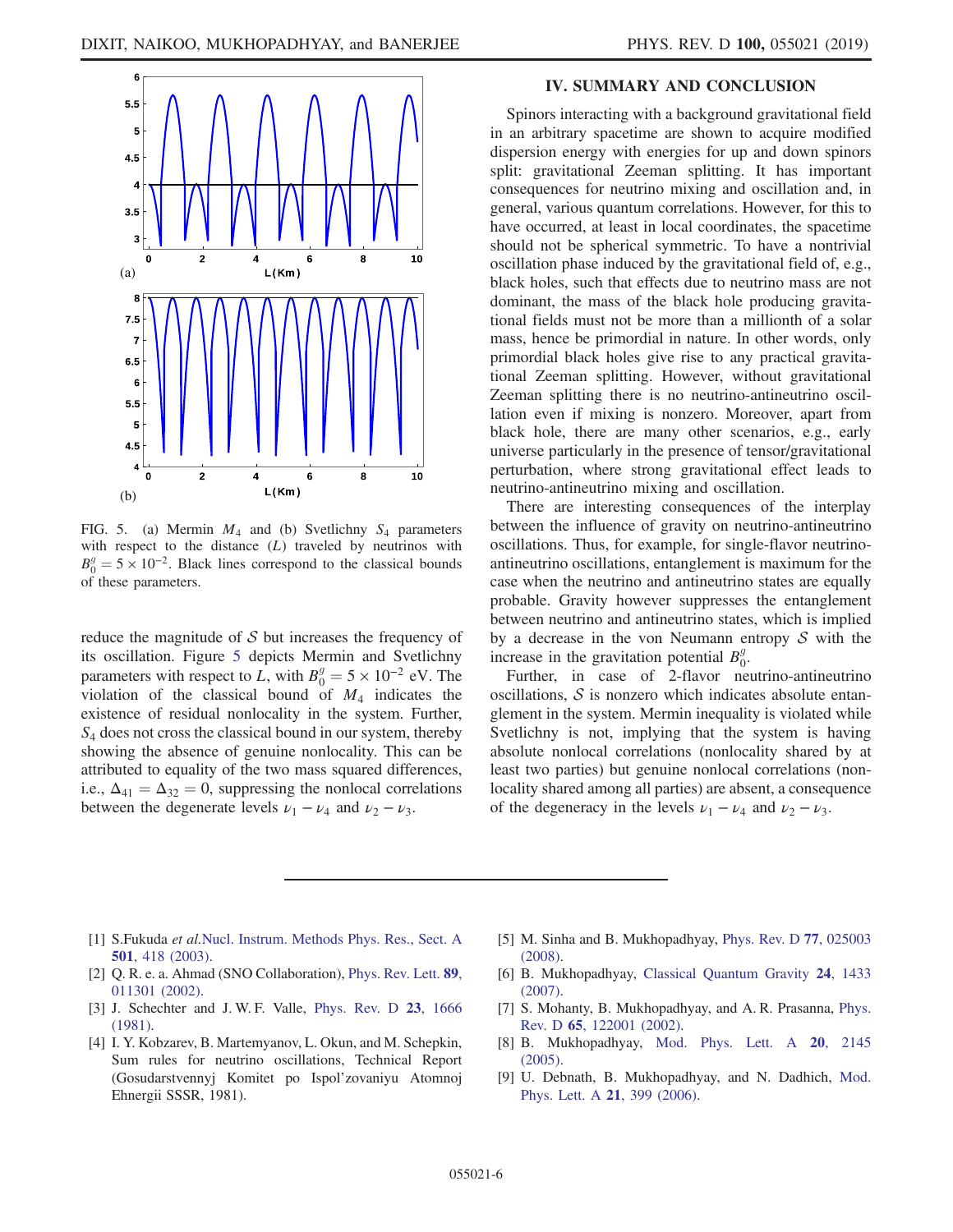

FIG. 5. (a) Mermin  $M_4$  and (b) Svetlichny  $S_4$  parameters with respect to the distance  $(L)$  traveled by neutrinos with  $B_0^g = 5 \times 10^{-2}$ . Black lines correspond to the classical bounds of these parameters.

reduce the magnitude of  $S$  but increases the frequency of its oscillation. Figure 5 depicts Mermin and Svetlichny parameters with respect to L, with  $B_0^g = 5 \times 10^{-2}$  eV. The violation of the classical bound of  $M_4$  indicates the existence of residual nonlocality in the system. Further,  $S_4$  does not cross the classical bound in our system, thereby showing the absence of genuine nonlocality. This can be attributed to equality of the two mass squared differences, i.e.,  $\Delta_{41} = \Delta_{32} = 0$ , suppressing the nonlocal correlations between the degenerate levels  $\nu_1 - \nu_4$  and  $\nu_2 - \nu_3$ .

### IV. SUMMARY AND CONCLUSION

Spinors interacting with a background gravitational field in an arbitrary spacetime are shown to acquire modified dispersion energy with energies for up and down spinors split: gravitational Zeeman splitting. It has important consequences for neutrino mixing and oscillation and, in general, various quantum correlations. However, for this to have occurred, at least in local coordinates, the spacetime should not be spherical symmetric. To have a nontrivial oscillation phase induced by the gravitational field of, e.g., black holes, such that effects due to neutrino mass are not dominant, the mass of the black hole producing gravitational fields must not be more than a millionth of a solar mass, hence be primordial in nature. In other words, only primordial black holes give rise to any practical gravitational Zeeman splitting. However, without gravitational Zeeman splitting there is no neutrino-antineutrino oscillation even if mixing is nonzero. Moreover, apart from black hole, there are many other scenarios, e.g., early universe particularly in the presence of tensor/gravitational perturbation, where strong gravitational effect leads to neutrino-antineutrino mixing and oscillation.

There are interesting consequences of the interplay between the influence of gravity on neutrino-antineutrino oscillations. Thus, for example, for single-flavor neutrinoantineutrino oscillations, entanglement is maximum for the case when the neutrino and antineutrino states are equally probable. Gravity however suppresses the entanglement between neutrino and antineutrino states, which is implied by a decrease in the von Neumann entropy  $S$  with the increase in the gravitation potential  $B_0^g$ .

Further, in case of 2-flavor neutrino-antineutrino oscillations,  $S$  is nonzero which indicates absolute entanglement in the system. Mermin inequality is violated while Svetlichny is not, implying that the system is having absolute nonlocal correlations (nonlocality shared by at least two parties) but genuine nonlocal correlations (nonlocality shared among all parties) are absent, a consequence of the degeneracy in the levels  $\nu_1 - \nu_4$  and  $\nu_2 - \nu_3$ .

- [1] S.Fukuda et al.Nucl. Instrum. Methods Phys. Res., Sect. A 501, 418 (2003).
- [2] Q. R. e. a. Ahmad (SNO Collaboration), Phys. Rev. Lett. 89, 011301 (2002).
- [3] J. Schechter and J.W.F. Valle, Phys. Rev. D 23, 1666 (1981).
- [4] I. Y. Kobzarev, B. Martemyanov, L. Okun, and M. Schepkin, Sum rules for neutrino oscillations, Technical Report (Gosudarstvennyj Komitet po Ispol'zovaniyu Atomnoj Ehnergii SSSR, 1981).
- [5] M. Sinha and B. Mukhopadhyay, Phys. Rev. D 77, 025003 (2008).
- [6] B. Mukhopadhyay, Classical Quantum Gravity 24, 1433 (2007).
- [7] S. Mohanty, B. Mukhopadhyay, and A. R. Prasanna, Phys. Rev. D 65, 122001 (2002).
- [8] B. Mukhopadhyay, Mod. Phys. Lett. A 20, 2145 (2005).
- [9] U. Debnath, B. Mukhopadhyay, and N. Dadhich, Mod. Phys. Lett. A 21, 399 (2006).